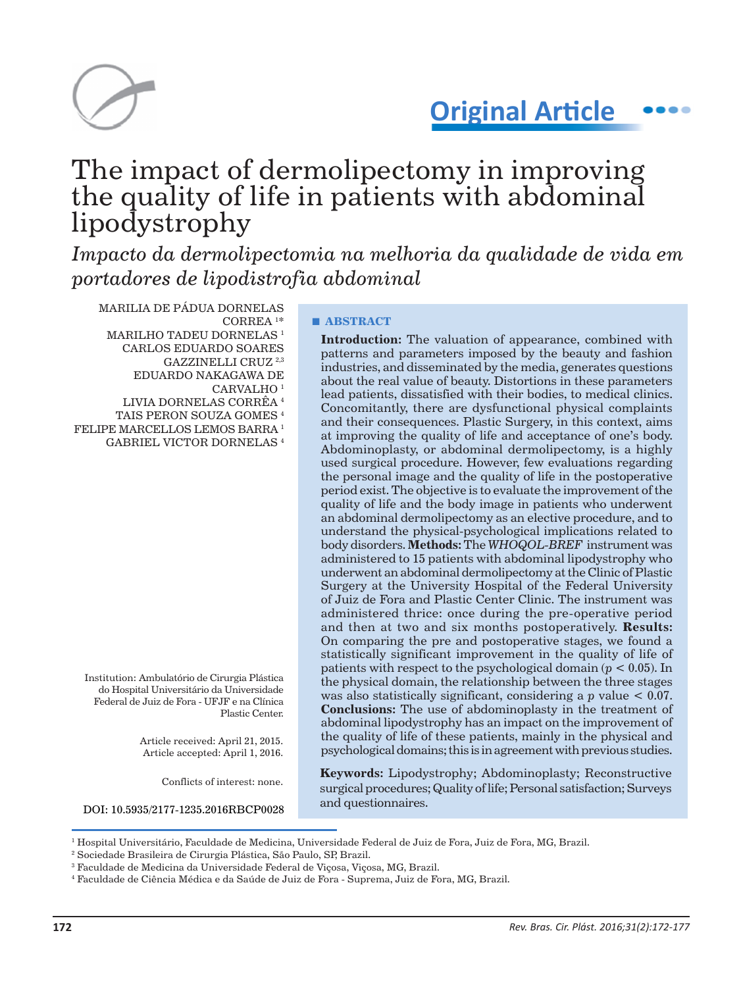

**Original Article**

# The impact of dermolipectomy in improving the quality of life in patients with abdominal lipodystrophy

*Impacto da dermolipectomia na melhoria da qualidade de vida em portadores de lipodistrofia abdominal*

MARILIA DE PÁDUA DORNELAS CORREA 1 \* MARILHO TADEU DORNELAS $^{\rm 1}$ CARLOS EDUARDO SOARES GAZZINELLI CRUZ 2,3 EDUARDO NAKAGAWA DE CARVALHO 1 LIVIA DORNELAS CORRÊA 4 TAIS PERON SOUZA GOMES 4 FELIPE MARCELLOS LEMOS BARRA 1 GABRIEL VICTOR DORNELAS 4

Institution: Ambulatório de Cirurgia Plástica do Hospital Universitário da Universidade Federal de Juiz de Fora - UFJF e na Clínica Plastic Center.

> Article received: April 21, 2015. Article accepted: April 1, 2016.

> > Conflicts of interest: none.

DOI: 10.5935/2177-1235.2016RBCP0028

### **■ ABSTRACT**

**Introduction:** The valuation of appearance, combined with patterns and parameters imposed by the beauty and fashion industries, and disseminated by the media, generates questions about the real value of beauty. Distortions in these parameters lead patients, dissatisfied with their bodies, to medical clinics. Concomitantly, there are dysfunctional physical complaints and their consequences. Plastic Surgery, in this context, aims at improving the quality of life and acceptance of one's body. Abdominoplasty, or abdominal dermolipectomy, is a highly used surgical procedure. However, few evaluations regarding the personal image and the quality of life in the postoperative period exist. The objective is to evaluate the improvement of the quality of life and the body image in patients who underwent an abdominal dermolipectomy as an elective procedure, and to understand the physical-psychological implications related to body disorders. **Methods:** The *WHOQOL-BREF* instrument was administered to 15 patients with abdominal lipodystrophy who underwent an abdominal dermolipectomy at the Clinic of Plastic Surgery at the University Hospital of the Federal University of Juiz de Fora and Plastic Center Clinic. The instrument was administered thrice: once during the pre-operative period and then at two and six months postoperatively. **Results:**  On comparing the pre and postoperative stages, we found a statistically significant improvement in the quality of life of patients with respect to the psychological domain (*p* < 0.05). In the physical domain, the relationship between the three stages was also statistically significant, considering a *p* value < 0.07. **Conclusions:** The use of abdominoplasty in the treatment of abdominal lipodystrophy has an impact on the improvement of the quality of life of these patients, mainly in the physical and psychological domains; this is in agreement with previous studies.

**Keywords:** Lipodystrophy; Abdominoplasty; Reconstructive surgical procedures; Quality of life; Personal satisfaction; Surveys and questionnaires.

<sup>&</sup>lt;sup>1</sup> Hospital Universitário, Faculdade de Medicina, Universidade Federal de Juiz de Fora, Juiz de Fora, MG, Brazil.

<sup>2</sup> Sociedade Brasileira de Cirurgia Plástica, São Paulo, SP, Brazil.

 $^3$  Faculdade de Medicina da Universidade Federal de Viçosa, Viçosa, MG, Brazil.

<sup>4</sup> Faculdade de Ciência Médica e da Saúde de Juiz de Fora - Suprema, Juiz de Fora, MG, Brazil.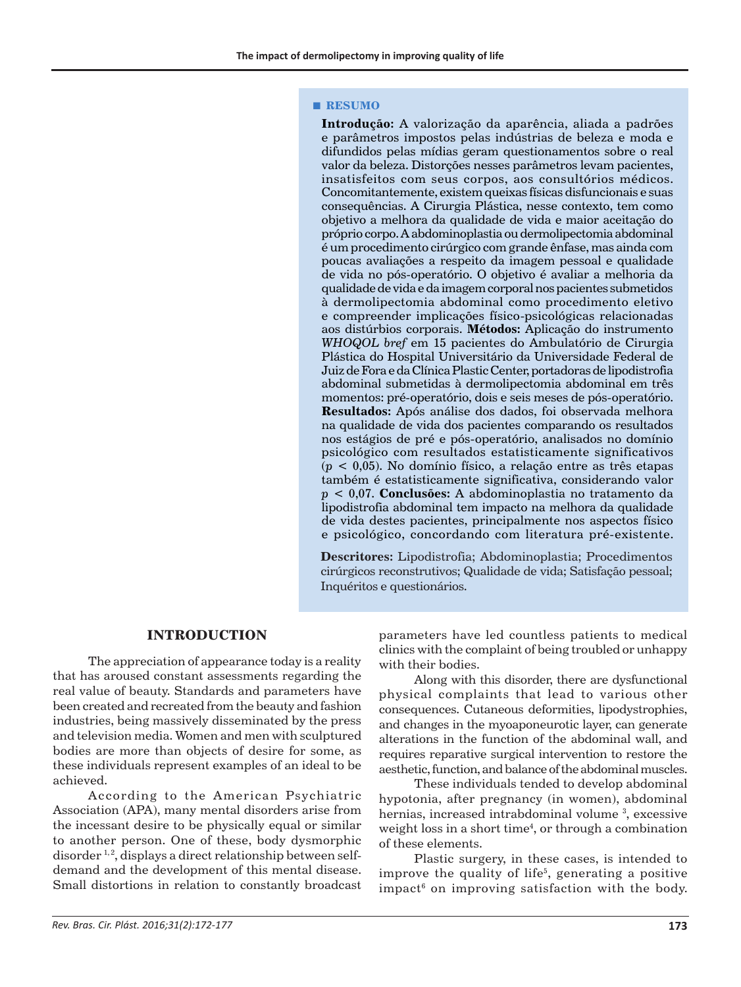#### **■ RESUMO**

**Introdução:** A valorização da aparência, aliada a padrões e parâmetros impostos pelas indústrias de beleza e moda e difundidos pelas mídias geram questionamentos sobre o real valor da beleza. Distorções nesses parâmetros levam pacientes, insatisfeitos com seus corpos, aos consultórios médicos. Concomitantemente, existem queixas físicas disfuncionais e suas consequências. A Cirurgia Plástica, nesse contexto, tem como objetivo a melhora da qualidade de vida e maior aceitação do próprio corpo. A abdominoplastia ou dermolipectomia abdominal é um procedimento cirúrgico com grande ênfase, mas ainda com poucas avaliações a respeito da imagem pessoal e qualidade de vida no pós-operatório. O objetivo é avaliar a melhoria da qualidade de vida e da imagem corporal nos pacientes submetidos à dermolipectomia abdominal como procedimento eletivo e compreender implicações físico-psicológicas relacionadas aos distúrbios corporais. **Métodos:** Aplicação do instrumento *WHOQOL bref* em 15 pacientes do Ambulatório de Cirurgia Plástica do Hospital Universitário da Universidade Federal de Juiz de Fora e da Clínica Plastic Center, portadoras de lipodistrofia abdominal submetidas à dermolipectomia abdominal em três momentos: pré-operatório, dois e seis meses de pós-operatório. **Resultados:** Após análise dos dados, foi observada melhora na qualidade de vida dos pacientes comparando os resultados nos estágios de pré e pós-operatório, analisados no domínio psicológico com resultados estatisticamente significativos (*p* < 0,05). No domínio físico, a relação entre as três etapas também é estatisticamente significativa, considerando valor *p* < 0,07. **Conclusões:** A abdominoplastia no tratamento da lipodistrofia abdominal tem impacto na melhora da qualidade de vida destes pacientes, principalmente nos aspectos físico e psicológico, concordando com literatura pré-existente.

**Descritores:** Lipodistrofia; Abdominoplastia; Procedimentos cirúrgicos reconstrutivos; Qualidade de vida; Satisfação pessoal; Inquéritos e questionários.

# **INTRODUCTION**

The appreciation of appearance today is a reality that has aroused constant assessments regarding the real value of beauty. Standards and parameters have been created and recreated from the beauty and fashion industries, being massively disseminated by the press and television media. Women and men with sculptured bodies are more than objects of desire for some, as these individuals represent examples of an ideal to be achieved.

According to the American Psychiatric Association (APA), many mental disorders arise from the incessant desire to be physically equal or similar to another person. One of these, body dysmorphic disorder  $1, 2$ , displays a direct relationship between selfdemand and the development of this mental disease. Small distortions in relation to constantly broadcast

parameters have led countless patients to medical clinics with the complaint of being troubled or unhappy with their bodies.

Along with this disorder, there are dysfunctional physical complaints that lead to various other consequences. Cutaneous deformities, lipodystrophies, and changes in the myoaponeurotic layer, can generate alterations in the function of the abdominal wall, and requires reparative surgical intervention to restore the aesthetic, function, and balance of the abdominal muscles.

These individuals tended to develop abdominal hypotonia, after pregnancy (in women), abdominal hernias, increased intrabdominal volume<sup>3</sup>, excessive weight loss in a short time<sup>4</sup>, or through a combination of these elements.

Plastic surgery, in these cases, is intended to improve the quality of life<sup>5</sup>, generating a positive impact<sup>6</sup> on improving satisfaction with the body.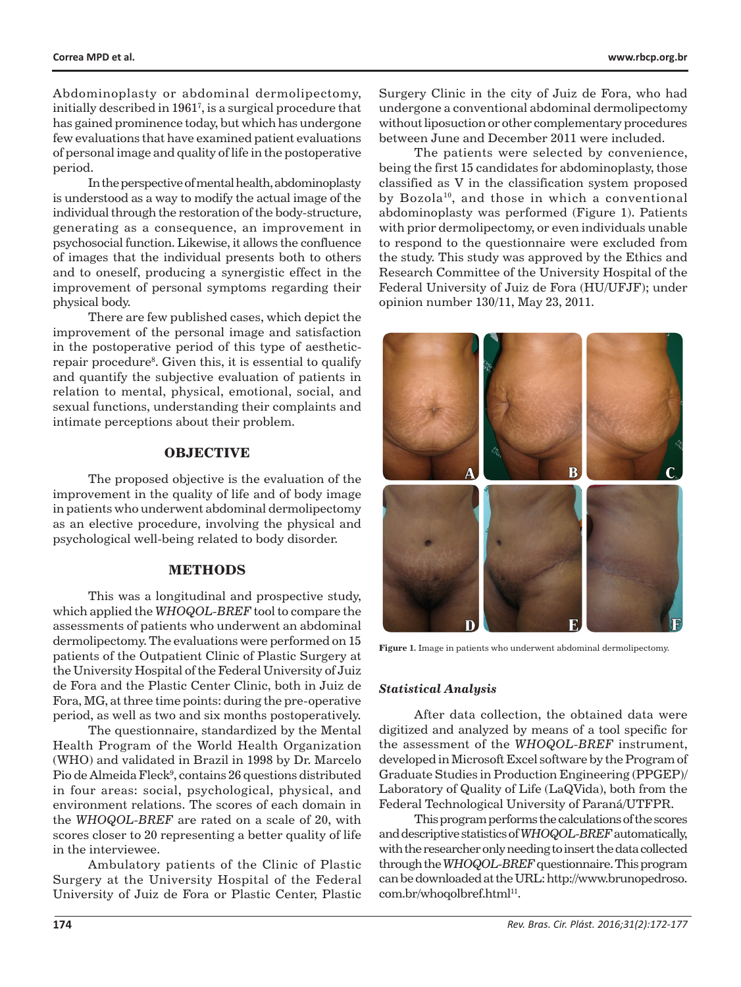Abdominoplasty or abdominal dermolipectomy, initially described in 19617 , is a surgical procedure that has gained prominence today, but which has undergone few evaluations that have examined patient evaluations of personal image and quality of life in the postoperative period.

In the perspective of mental health, abdominoplasty is understood as a way to modify the actual image of the individual through the restoration of the body-structure, generating as a consequence, an improvement in psychosocial function. Likewise, it allows the confluence of images that the individual presents both to others and to oneself, producing a synergistic effect in the improvement of personal symptoms regarding their physical body.

There are few published cases, which depict the improvement of the personal image and satisfaction in the postoperative period of this type of aestheticrepair procedure<sup>8</sup>. Given this, it is essential to qualify and quantify the subjective evaluation of patients in relation to mental, physical, emotional, social, and sexual functions, understanding their complaints and intimate perceptions about their problem.

## **OBJECTIVE**

The proposed objective is the evaluation of the improvement in the quality of life and of body image in patients who underwent abdominal dermolipectomy as an elective procedure, involving the physical and psychological well-being related to body disorder.

#### **METHODS**

This was a longitudinal and prospective study, which applied the *WHOQOL-BREF* tool to compare the assessments of patients who underwent an abdominal dermolipectomy. The evaluations were performed on 15 patients of the Outpatient Clinic of Plastic Surgery at the University Hospital of the Federal University of Juiz de Fora and the Plastic Center Clinic, both in Juiz de Fora, MG, at three time points: during the pre-operative period, as well as two and six months postoperatively.

The questionnaire, standardized by the Mental Health Program of the World Health Organization (WHO) and validated in Brazil in 1998 by Dr. Marcelo Pio de Almeida Fleck<sup>9</sup>, contains 26 questions distributed in four areas: social, psychological, physical, and environment relations. The scores of each domain in the *WHOQOL-BREF* are rated on a scale of 20, with scores closer to 20 representing a better quality of life in the interviewee.

Ambulatory patients of the Clinic of Plastic Surgery at the University Hospital of the Federal University of Juiz de Fora or Plastic Center, Plastic

Surgery Clinic in the city of Juiz de Fora, who had undergone a conventional abdominal dermolipectomy without liposuction or other complementary procedures between June and December 2011 were included.

The patients were selected by convenience, being the first 15 candidates for abdominoplasty, those classified as V in the classification system proposed by Bozola<sup>10</sup>, and those in which a conventional abdominoplasty was performed (Figure 1). Patients with prior dermolipectomy, or even individuals unable to respond to the questionnaire were excluded from the study. This study was approved by the Ethics and Research Committee of the University Hospital of the Federal University of Juiz de Fora (HU/UFJF); under opinion number 130/11, May 23, 2011.



**Figure 1.** Image in patients who underwent abdominal dermolipectomy.

#### *Statistical Analysis*

After data collection, the obtained data were digitized and analyzed by means of a tool specific for the assessment of the *WHOQOL-BREF* instrument, developed in Microsoft Excel software by the Program of Graduate Studies in Production Engineering (PPGEP)/ Laboratory of Quality of Life (LaQVida), both from the Federal Technological University of Paraná/UTFPR.

This program performs the calculations of the scores and descriptive statistics of *WHOQOL-BREF* automatically, with the researcher only needing to insert the data collected through the *WHOQOL-BREF* questionnaire. This program can be downloaded at the URL: http://www.brunopedroso. com.br/whoqolbref.html<sup>11</sup>.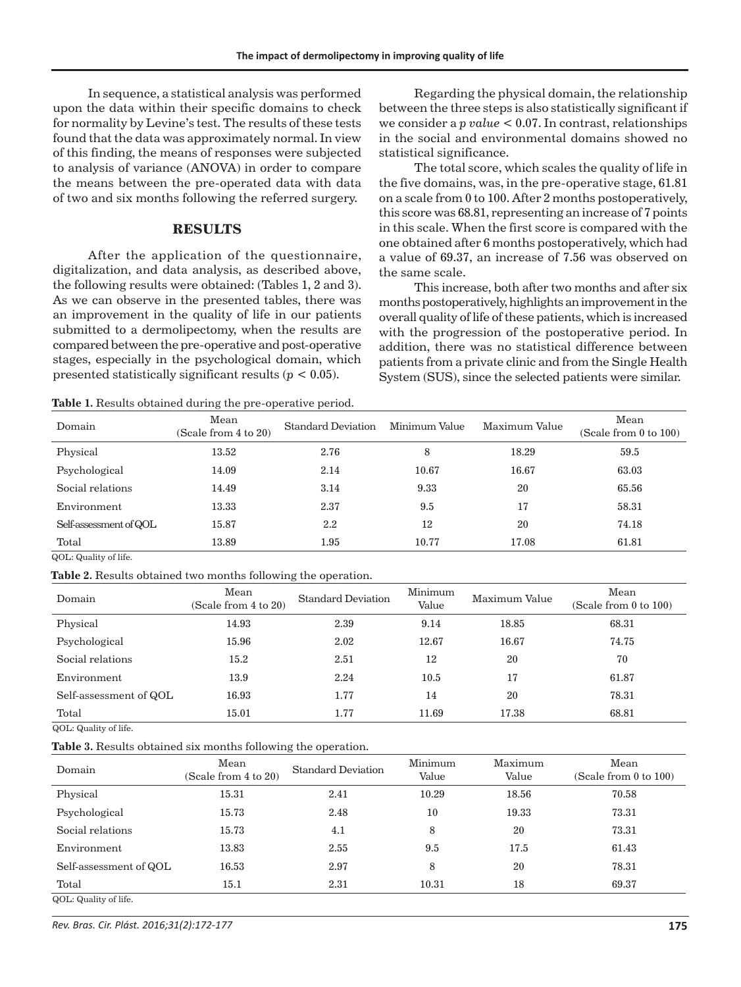In sequence, a statistical analysis was performed upon the data within their specific domains to check for normality by Levine's test. The results of these tests found that the data was approximately normal. In view of this finding, the means of responses were subjected to analysis of variance (ANOVA) in order to compare the means between the pre-operated data with data of two and six months following the referred surgery.

#### **RESULTS**

After the application of the questionnaire, digitalization, and data analysis, as described above, the following results were obtained: (Tables 1, 2 and 3). As we can observe in the presented tables, there was an improvement in the quality of life in our patients submitted to a dermolipectomy, when the results are compared between the pre-operative and post-operative stages, especially in the psychological domain, which presented statistically significant results (*p* < 0.05).

Regarding the physical domain, the relationship between the three steps is also statistically significant if we consider a *p value* < 0.07. In contrast, relationships in the social and environmental domains showed no statistical significance.

The total score, which scales the quality of life in the five domains, was, in the pre-operative stage, 61.81 on a scale from 0 to 100. After 2 months postoperatively, this score was 68.81, representing an increase of 7 points in this scale. When the first score is compared with the one obtained after 6 months postoperatively, which had a value of 69.37, an increase of 7.56 was observed on the same scale.

This increase, both after two months and after six months postoperatively, highlights an improvement in the overall quality of life of these patients, which is increased with the progression of the postoperative period. In addition, there was no statistical difference between patients from a private clinic and from the Single Health System (SUS), since the selected patients were similar.

**Table 1.** Results obtained during the pre-operative period.

| Domain                 | Mean<br>(Scale from 4 to 20) | <b>Standard Deviation</b> | Minimum Value | Maximum Value | Mean<br>(Scale from 0 to 100) |
|------------------------|------------------------------|---------------------------|---------------|---------------|-------------------------------|
| Physical               | 13.52                        | 2.76                      | 8             | 18.29         | 59.5                          |
| Psychological          | 14.09                        | 2.14                      | 10.67         | 16.67         | 63.03                         |
| Social relations       | 14.49                        | 3.14                      | 9.33          | 20            | 65.56                         |
| Environment            | 13.33                        | 2.37                      | 9.5           | 17            | 58.31                         |
| Self-assessment of QOL | 15.87                        | 2.2                       | 12            | 20            | 74.18                         |
| Total                  | 13.89                        | 1.95                      | 10.77         | 17.08         | 61.81                         |

QOL: Quality of life.

**Table 2.** Results obtained two months following the operation.

| Domain                 | Mean<br>(Scale from 4 to 20) | <b>Standard Deviation</b> | Minimum<br>Value | Maximum Value | Mean<br>(Scale from 0 to 100) |
|------------------------|------------------------------|---------------------------|------------------|---------------|-------------------------------|
| Physical               | 14.93                        | 2.39                      | 9.14             | 18.85         | 68.31                         |
| Psychological          | 15.96                        | 2.02                      | 12.67            | 16.67         | 74.75                         |
| Social relations       | 15.2                         | 2.51                      | 12               | 20            | 70                            |
| Environment            | 13.9                         | 2.24                      | 10.5             | 17            | 61.87                         |
| Self-assessment of QOL | 16.93                        | 1.77                      | 14               | 20            | 78.31                         |
| Total                  | 15.01                        | 1.77                      | 11.69            | 17.38         | 68.81                         |

QOL: Quality of life.

**Table 3.** Results obtained six months following the operation.

|                        |                              | $\overline{\phantom{a}}$  |                  |                  |                                    |
|------------------------|------------------------------|---------------------------|------------------|------------------|------------------------------------|
| Domain                 | Mean<br>(Scale from 4 to 20) | <b>Standard Deviation</b> | Minimum<br>Value | Maximum<br>Value | Mean<br>(Scale from $0$ to $100$ ) |
| Physical               | 15.31                        | 2.41                      | 10.29            | 18.56            | 70.58                              |
| Psychological          | 15.73                        | 2.48                      | 10               | 19.33            | 73.31                              |
| Social relations       | 15.73                        | 4.1                       | 8                | 20               | 73.31                              |
| Environment            | 13.83                        | 2.55                      | 9.5              | 17.5             | 61.43                              |
| Self-assessment of QOL | 16.53                        | 2.97                      | 8                | 20               | 78.31                              |
| Total                  | 15.1                         | 2.31                      | 10.31            | 18               | 69.37                              |
| QOL: Quality of life.  |                              |                           |                  |                  |                                    |

*Rev. Bras. Cir. Plást. 2016;31(2):172-177* **175**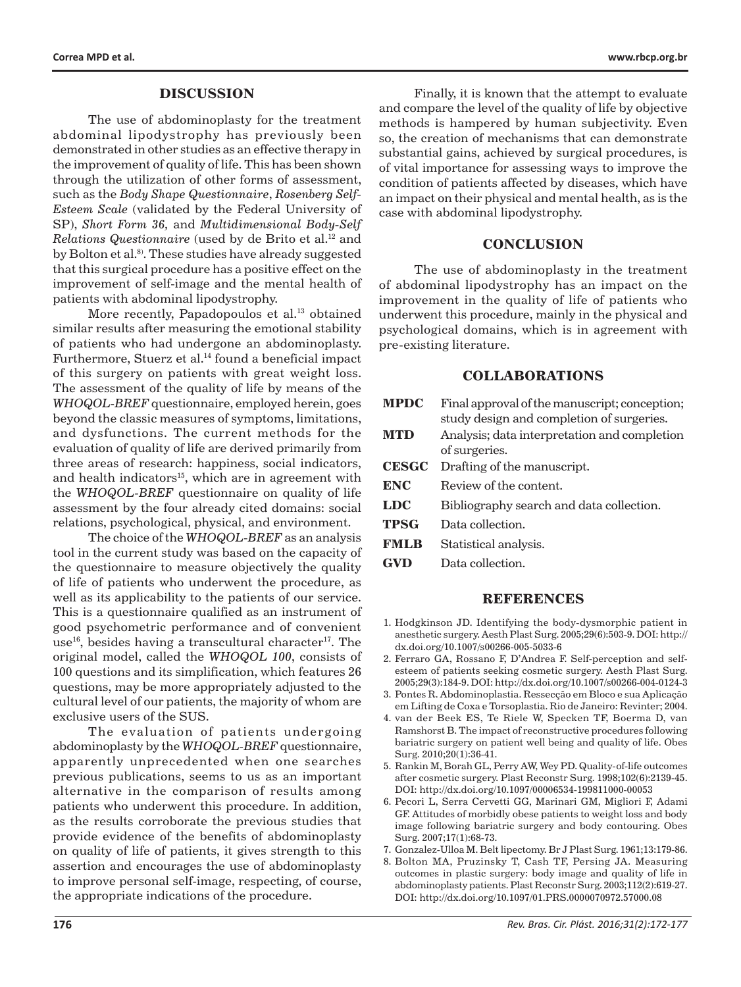#### **DISCUSSION**

The use of abdominoplasty for the treatment abdominal lipodystrophy has previously been demonstrated in other studies as an effective therapy in the improvement of quality of life. This has been shown through the utilization of other forms of assessment, such as the *Body Shape Questionnaire*, *Rosenberg Self-Esteem Scale* (validated by the Federal University of SP), *Short Form 36,* and *Multidimensional Body-Self Relations Questionnaire* (used by de Brito et al.<sup>12</sup> and by Bolton et al.<sup>8</sup>. These studies have already suggested that this surgical procedure has a positive effect on the improvement of self-image and the mental health of patients with abdominal lipodystrophy.

More recently, Papadopoulos et al.<sup>13</sup> obtained similar results after measuring the emotional stability of patients who had undergone an abdominoplasty. Furthermore, Stuerz et al.<sup>14</sup> found a beneficial impact of this surgery on patients with great weight loss. The assessment of the quality of life by means of the *WHOQOL-BREF* questionnaire, employed herein, goes beyond the classic measures of symptoms, limitations, and dysfunctions. The current methods for the evaluation of quality of life are derived primarily from three areas of research: happiness, social indicators, and health indicators<sup>15</sup>, which are in agreement with the *WHOQOL-BREF* questionnaire on quality of life assessment by the four already cited domains: social relations, psychological, physical, and environment.

The choice of the *WHOQOL-BREF* as an analysis tool in the current study was based on the capacity of the questionnaire to measure objectively the quality of life of patients who underwent the procedure, as well as its applicability to the patients of our service. This is a questionnaire qualified as an instrument of good psychometric performance and of convenient use<sup>16</sup>, besides having a transcultural character<sup>17</sup>. The original model, called the *WHOQOL 100*, consists of 100 questions and its simplification, which features 26 questions, may be more appropriately adjusted to the cultural level of our patients, the majority of whom are exclusive users of the SUS.

The evaluation of patients undergoing abdominoplasty by the *WHOQOL-BREF* questionnaire, apparently unprecedented when one searches previous publications, seems to us as an important alternative in the comparison of results among patients who underwent this procedure. In addition, as the results corroborate the previous studies that provide evidence of the benefits of abdominoplasty on quality of life of patients, it gives strength to this assertion and encourages the use of abdominoplasty to improve personal self-image, respecting, of course, the appropriate indications of the procedure.

Finally, it is known that the attempt to evaluate and compare the level of the quality of life by objective methods is hampered by human subjectivity. Even so, the creation of mechanisms that can demonstrate substantial gains, achieved by surgical procedures, is of vital importance for assessing ways to improve the condition of patients affected by diseases, which have an impact on their physical and mental health, as is the case with abdominal lipodystrophy.

### **CONCLUSION**

The use of abdominoplasty in the treatment of abdominal lipodystrophy has an impact on the improvement in the quality of life of patients who underwent this procedure, mainly in the physical and psychological domains, which is in agreement with pre-existing literature.

#### **COLLABORATIONS**

| <b>MPDC</b>  | Final approval of the manuscript; conception;<br>study design and completion of surgeries. |
|--------------|--------------------------------------------------------------------------------------------|
| <b>MTD</b>   | Analysis; data interpretation and completion<br>of surgeries.                              |
| <b>CESGC</b> | Drafting of the manuscript.                                                                |
| ENC          | Review of the content.                                                                     |
| LDC          | Bibliography search and data collection.                                                   |
| <b>TPSG</b>  | Data collection.                                                                           |
| <b>FMLR</b>  | Statistical analysis.                                                                      |

**GVD** Data collection.

#### **REFERENCES**

- 1. Hodgkinson JD. Identifying the body-dysmorphic patient in anesthetic surgery. Aesth Plast Surg. 2005;29(6):503-9. DOI: http:// dx.doi.org/10.1007/s00266-005-5033-6
- 2. Ferraro GA, Rossano F, D'Andrea F. Self-perception and selfesteem of patients seeking cosmetic surgery. Aesth Plast Surg. 2005;29(3):184-9. DOI: http://dx.doi.org/10.1007/s00266-004-0124-3
- 3. Pontes R. Abdominoplastia. Ressecção em Bloco e sua Aplicação em Lifting de Coxa e Torsoplastia. Rio de Janeiro: Revinter; 2004.
- 4. van der Beek ES, Te Riele W, Specken TF, Boerma D, van Ramshorst B. The impact of reconstructive procedures following bariatric surgery on patient well being and quality of life. Obes Surg. 2010;20(1):36-41.
- 5. Rankin M, Borah GL, Perry AW, Wey PD. Quality-of-life outcomes after cosmetic surgery. Plast Reconstr Surg. 1998;102(6):2139-45. DOI: http://dx.doi.org/10.1097/00006534-199811000-00053
- 6. Pecori L, Serra Cervetti GG, Marinari GM, Migliori F, Adami GF. Attitudes of morbidly obese patients to weight loss and body image following bariatric surgery and body contouring. Obes Surg. 2007;17(1):68-73.
- 7. Gonzalez-Ulloa M. Belt lipectomy. Br J Plast Surg. 1961;13:179-86.
- 8. Bolton MA, Pruzinsky T, Cash TF, Persing JA. Measuring outcomes in plastic surgery: body image and quality of life in abdominoplasty patients. Plast Reconstr Surg. 2003;112(2):619-27. DOI: http://dx.doi.org/10.1097/01.PRS.0000070972.57000.08